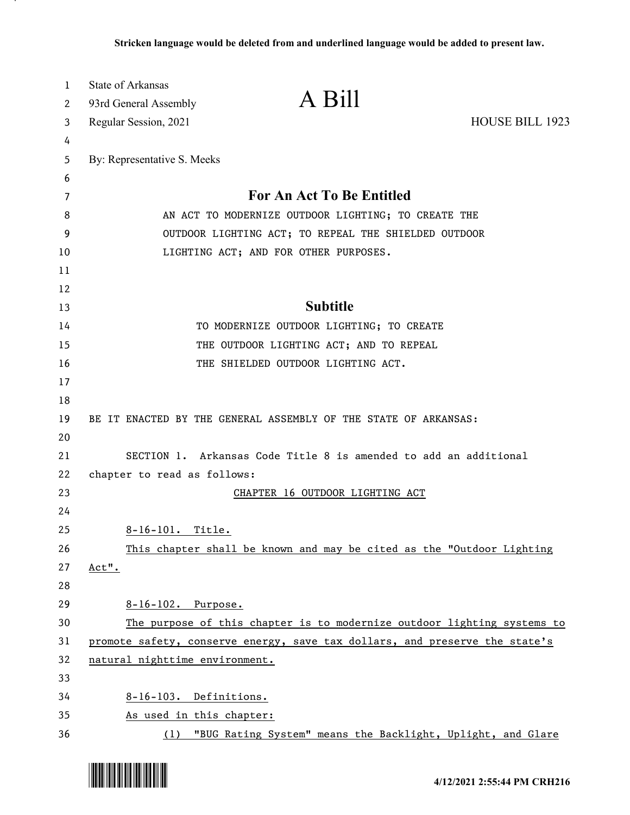| $\mathbf{1}$ | <b>State of Arkansas</b>       | A Bill                                                                      |                        |
|--------------|--------------------------------|-----------------------------------------------------------------------------|------------------------|
| 2            | 93rd General Assembly          |                                                                             |                        |
| 3            | Regular Session, 2021          |                                                                             | <b>HOUSE BILL 1923</b> |
| 4            |                                |                                                                             |                        |
| 5<br>6       | By: Representative S. Meeks    |                                                                             |                        |
| 7            |                                | <b>For An Act To Be Entitled</b>                                            |                        |
| 8            |                                | AN ACT TO MODERNIZE OUTDOOR LIGHTING; TO CREATE THE                         |                        |
| 9            |                                | OUTDOOR LIGHTING ACT; TO REPEAL THE SHIELDED OUTDOOR                        |                        |
| 10           |                                | LIGHTING ACT; AND FOR OTHER PURPOSES.                                       |                        |
| 11           |                                |                                                                             |                        |
| 12           |                                |                                                                             |                        |
| 13           |                                | <b>Subtitle</b>                                                             |                        |
| 14           |                                | TO MODERNIZE OUTDOOR LIGHTING; TO CREATE                                    |                        |
| 15           |                                | THE OUTDOOR LIGHTING ACT; AND TO REPEAL                                     |                        |
| 16           |                                | THE SHIELDED OUTDOOR LIGHTING ACT.                                          |                        |
| 17           |                                |                                                                             |                        |
| 18           |                                |                                                                             |                        |
| 19           |                                | BE IT ENACTED BY THE GENERAL ASSEMBLY OF THE STATE OF ARKANSAS:             |                        |
| 20           |                                |                                                                             |                        |
| 21           |                                | SECTION 1. Arkansas Code Title 8 is amended to add an additional            |                        |
| 22           | chapter to read as follows:    |                                                                             |                        |
| 23           |                                | CHAPTER 16 OUTDOOR LIGHTING ACT                                             |                        |
| 24           |                                |                                                                             |                        |
| 25           | 8-16-101. Title.               |                                                                             |                        |
| 26           |                                | This chapter shall be known and may be cited as the "Outdoor Lighting       |                        |
| 27<br>28     | Act".                          |                                                                             |                        |
| 29           | 8-16-102. Purpose.             |                                                                             |                        |
| 30           |                                | The purpose of this chapter is to modernize outdoor lighting systems to     |                        |
| 31           |                                | promote safety, conserve energy, save tax dollars, and preserve the state's |                        |
| 32           | natural nighttime environment. |                                                                             |                        |
| 33           |                                |                                                                             |                        |
| 34           | 8-16-103. Definitions.         |                                                                             |                        |
| 35           | As used in this chapter:       |                                                                             |                        |
| 36           |                                | (1) "BUG Rating System" means the Backlight, Uplight, and Glare             |                        |

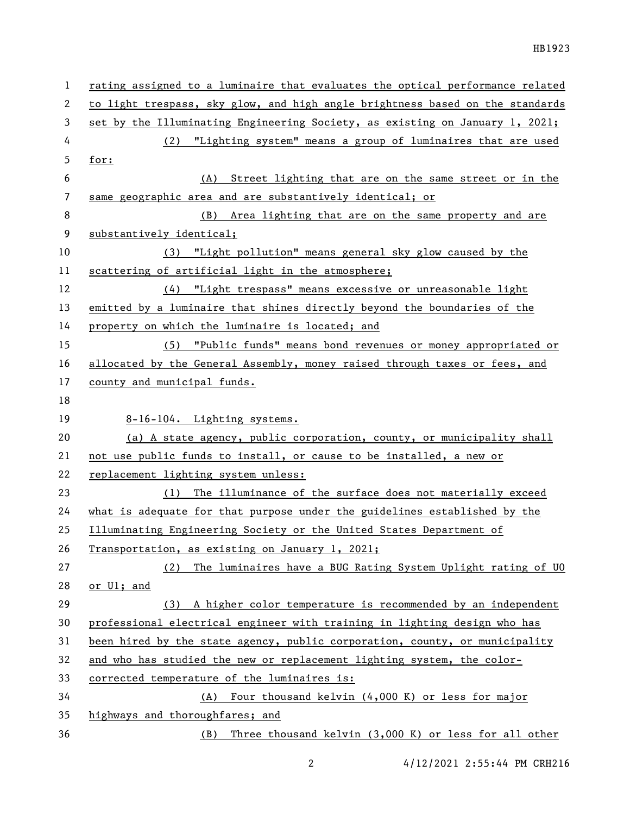| 1  | rating assigned to a luminaire that evaluates the optical performance related |
|----|-------------------------------------------------------------------------------|
| 2  | to light trespass, sky glow, and high angle brightness based on the standards |
| 3  | set by the Illuminating Engineering Society, as existing on January 1, 2021;  |
| 4  | (2) "Lighting system" means a group of luminaires that are used               |
| 5  | for:                                                                          |
| 6  | Street lighting that are on the same street or in the<br>(A)                  |
| 7  | same geographic area and are substantively identical; or                      |
| 8  | (B) Area lighting that are on the same property and are                       |
| 9  | substantively identical;                                                      |
| 10 | (3) "Light pollution" means general sky glow caused by the                    |
| 11 | scattering of artificial light in the atmosphere;                             |
| 12 | (4) "Light trespass" means excessive or unreasonable light                    |
| 13 | emitted by a luminaire that shines directly beyond the boundaries of the      |
| 14 | property on which the luminaire is located; and                               |
| 15 | (5) "Public funds" means bond revenues or money appropriated or               |
| 16 | allocated by the General Assembly, money raised through taxes or fees, and    |
| 17 | county and municipal funds.                                                   |
| 18 |                                                                               |
| 19 | 8-16-104. Lighting systems.                                                   |
| 20 | (a) A state agency, public corporation, county, or municipality shall         |
| 21 | not use public funds to install, or cause to be installed, a new or           |
| 22 | replacement lighting system unless:                                           |
| 23 | The illuminance of the surface does not materially exceed<br>(1)              |
| 24 | what is adequate for that purpose under the guidelines established by the     |
| 25 | Illuminating Engineering Society or the United States Department of           |
| 26 | Transportation, as existing on January 1, 2021;                               |
| 27 | The luminaires have a BUG Rating System Uplight rating of UO<br>(2)           |
| 28 | or Ul; and                                                                    |
| 29 | A higher color temperature is recommended by an independent<br>(3)            |
| 30 | professional electrical engineer with training in lighting design who has     |
| 31 | been hired by the state agency, public corporation, county, or municipality   |
| 32 | and who has studied the new or replacement lighting system, the color-        |
| 33 | corrected temperature of the luminaires is:                                   |
| 34 | Four thousand kelvin (4,000 K) or less for major<br>(A)                       |
|    |                                                                               |
| 35 | highways and thoroughfares; and                                               |

2 4/12/2021 2:55:44 PM CRH216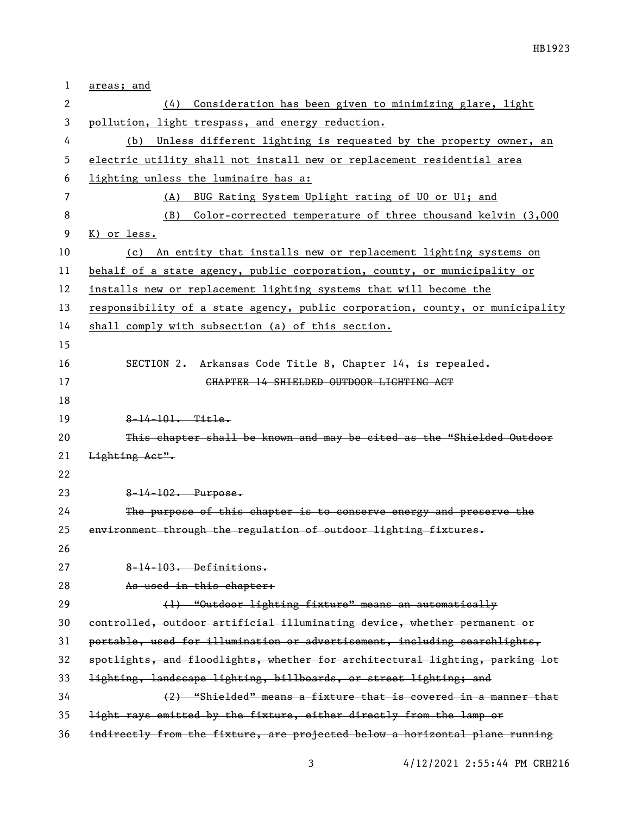| 1  | areas; and                                                                    |
|----|-------------------------------------------------------------------------------|
| 2  | Consideration has been given to minimizing glare, light<br>(4)                |
| 3  | pollution, light trespass, and energy reduction.                              |
| 4  | Unless different lighting is requested by the property owner, an<br>(b)       |
| 5  | electric utility shall not install new or replacement residential area        |
| 6  | lighting unless the luminaire has a:                                          |
| 7  | BUG Rating System Uplight rating of UO or Ul; and<br>(A)                      |
| 8  | Color-corrected temperature of three thousand kelvin (3,000<br>(B)            |
| 9  | K) or less.                                                                   |
| 10 | An entity that installs new or replacement lighting systems on<br>(c)         |
| 11 | behalf of a state agency, public corporation, county, or municipality or      |
| 12 | installs new or replacement lighting systems that will become the             |
| 13 | responsibility of a state agency, public corporation, county, or municipality |
| 14 | shall comply with subsection (a) of this section.                             |
| 15 |                                                                               |
| 16 | SECTION 2. Arkansas Code Title 8, Chapter 14, is repealed.                    |
| 17 | CHAPTER 14 SHIELDED OUTDOOR LIGHTING ACT                                      |
| 18 |                                                                               |
| 19 | $8 - 14 - 101 - 111$                                                          |
| 20 | This chapter shall be known and may be cited as the "Shielded Outdoor         |
| 21 | Lighting Act".                                                                |
| 22 |                                                                               |
| 23 | $8 - 14 - 102$ . Purpose.                                                     |
| 24 | The purpose of this chapter is to conserve energy and preserve the            |
| 25 | environment through the regulation of outdoor lighting fixtures.              |
| 26 |                                                                               |
| 27 | 8-14-103. Definitions.                                                        |
| 28 | As used in this chapter:                                                      |
| 29 | (1) "Outdoor lighting fixture" means an automatically                         |
| 30 | controlled, outdoor artificial illuminating device, whether permanent or      |
| 31 | portable, used for illumination or advertisement, including searchlights,     |
| 32 | spotlights, and floodlights, whether for architectural lighting, parking lot  |
| 33 | lighting, landscape lighting, billboards, or street lighting; and             |
| 34 | (2) "Shielded" means a fixture that is covered in a manner that               |
| 35 | light rays emitted by the fixture, either directly from the lamp or           |
| 36 | indirectly from the fixture, are projected below a horizontal plane running   |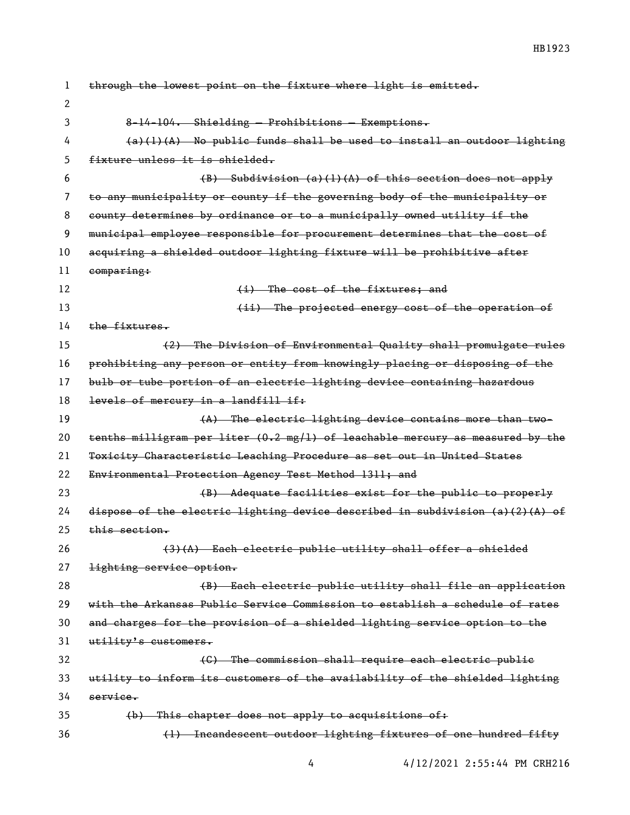| 1  | through the lowest point on the fixture where light is emitted.                       |
|----|---------------------------------------------------------------------------------------|
| 2  |                                                                                       |
| 3  | 8-14-104. Shielding - Prohibitions - Exemptions.                                      |
| 4  | $(a)(1)(A)$ No public funds shall be used to install an outdoor lighting              |
| 5  | fixture unless it is shielded.                                                        |
| 6  | $(B)$ Subdivision $(a)$ (1) $(A)$ of this section does not apply                      |
| 7  | to any municipality or county if the governing body of the municipality or            |
| 8  | county determines by ordinance or to a municipally owned utility if the               |
| 9  | municipal employee responsible for procurement determines that the cost of            |
| 10 | acquiring a shielded outdoor lighting fixture will be prohibitive after               |
| 11 | comparing:                                                                            |
| 12 | (i) The cost of the fixtures; and                                                     |
| 13 | (ii) The projected energy cost of the operation of                                    |
| 14 | the fixtures.                                                                         |
| 15 | (2) The Division of Environmental Quality shall promulgate rules                      |
| 16 | prohibiting any person or entity from knowingly placing or disposing of the           |
| 17 | bulb or tube portion of an electric lighting device containing hazardous              |
| 18 | levels of mercury in a landfill if:                                                   |
| 19 | (A) The electric lighting device contains more than two-                              |
| 20 | tenths milligram per liter (0.2 mg/l) of leachable mercury as measured by the         |
| 21 | Toxicity Characteristic Leaching Procedure as set out in United States                |
| 22 | Environmental Protection Agency Test Method 1311; and                                 |
| 23 | (B) Adequate facilities exist for the public to properly                              |
| 24 | dispose of the electric lighting device described in subdivision $(a)$ $(2)$ $(A)$ of |
| 25 | <del>this section.</del>                                                              |
| 26 | $(3)$ $(A)$ Each electric public utility shall offer a shielded                       |
| 27 | lighting service option.                                                              |
| 28 | (B) Each electric public utility shall file an application                            |
| 29 | with the Arkansas Public Service Commission to establish a schedule of rates          |
| 30 | and charges for the provision of a shielded lighting service option to the            |
| 31 | utility's customers.                                                                  |
| 32 | (C) The commission shall require each electric public                                 |
| 33 | utility to inform its customers of the availability of the shielded lighting          |
| 34 | service.                                                                              |
| 35 | (b) This chapter does not apply to acquisitions of:                                   |
| 36 | (1) Incandescent outdoor lighting fixtures of one hundred fifty                       |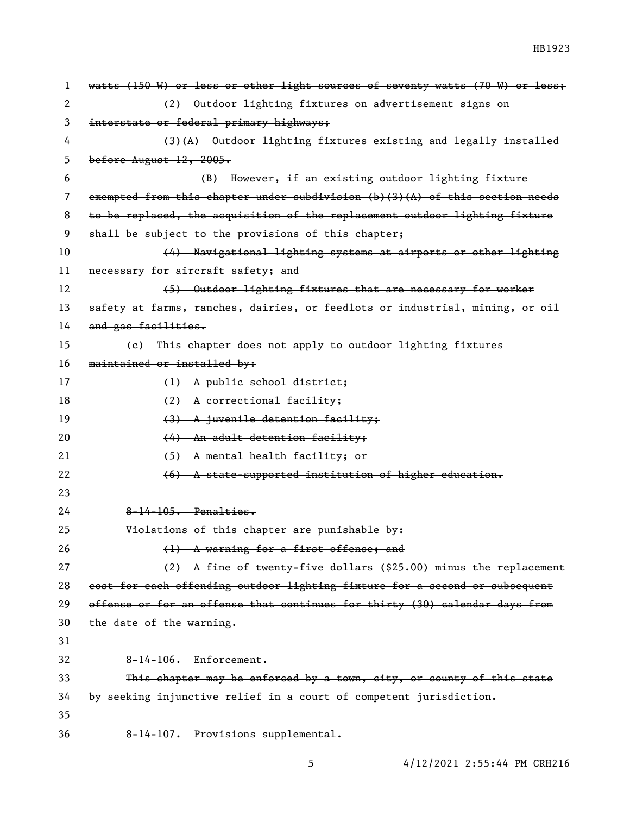| 1  | watts (150 W) or less or other light sources of seventy watts (70 W) or less;  |
|----|--------------------------------------------------------------------------------|
| 2  | (2) Outdoor lighting fixtures on advertisement signs on                        |
| 3  | interstate or federal primary highways;                                        |
| 4  | (3)(A) Outdoor lighting fixtures existing and legally installed                |
| 5  | before August $12, 2005.$                                                      |
| 6  | (B) However, if an existing outdoor lighting fixture                           |
| 7  | exempted from this chapter under subdivision $(b)(3)(A)$ of this section needs |
| 8  | to be replaced, the acquisition of the replacement outdoor lighting fixture    |
| 9  | shall be subject to the provisions of this chapter;                            |
| 10 | (4) Navigational lighting systems at airports or other lighting                |
| 11 | necessary for aircraft safety; and                                             |
| 12 | (5) Outdoor lighting fixtures that are necessary for worker                    |
| 13 | safety at farms, ranches, dairies, or feedlots or industrial, mining, or oil   |
| 14 | and gas facilities.                                                            |
| 15 | (e) This chapter does not apply to outdoor lighting fixtures                   |
| 16 | maintained or installed by:                                                    |
| 17 | (1) A public school district;                                                  |
| 18 | (2) A correctional facility;                                                   |
| 19 | (3) A juvenile detention facility;                                             |
| 20 | (4) An adult detention facility;                                               |
| 21 | (5) A mental health facility; or                                               |
| 22 | (6) A state-supported institution of higher education.                         |
| 23 |                                                                                |
| 24 | $8-14-105$ . Penalties.                                                        |
| 25 | Violations of this chapter are punishable by:                                  |
| 26 | (1) A warning for a first offense; and                                         |
| 27 | (2) A fine of twenty-five dollars (\$25.00) minus the replacement              |
| 28 | cost for each offending outdoor lighting fixture for a second or subsequent    |
| 29 | offense or for an offense that continues for thirty (30) calendar days from    |
| 30 | the date of the warning.                                                       |
| 31 |                                                                                |
| 32 | 8-14-106. Enforcement.                                                         |
| 33 | This chapter may be enforced by a town, city, or county of this state          |
| 34 | by seeking injunctive relief in a court of competent jurisdiction.             |
| 35 |                                                                                |
| 36 | 8-14-107. Provisions supplemental.                                             |